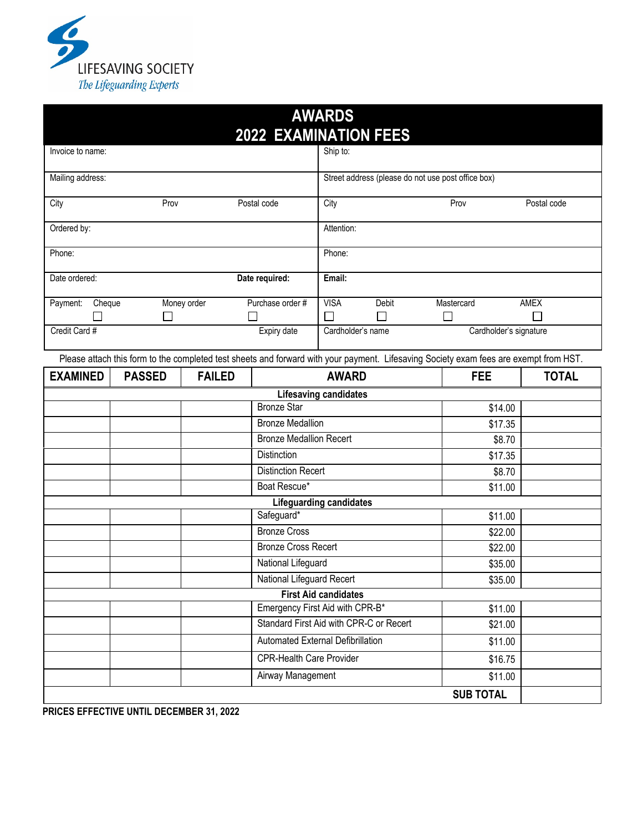

| <b>AWARDS</b>                                                                                                                         |                                 |                           |                                         |                                             |                                                    |                  |              |  |  |  |  |
|---------------------------------------------------------------------------------------------------------------------------------------|---------------------------------|---------------------------|-----------------------------------------|---------------------------------------------|----------------------------------------------------|------------------|--------------|--|--|--|--|
| <b>2022 EXAMINATION FEES</b>                                                                                                          |                                 |                           |                                         |                                             |                                                    |                  |              |  |  |  |  |
| Invoice to name:                                                                                                                      |                                 |                           |                                         | Ship to:                                    |                                                    |                  |              |  |  |  |  |
| Mailing address:                                                                                                                      |                                 |                           |                                         |                                             | Street address (please do not use post office box) |                  |              |  |  |  |  |
| City<br>Prov                                                                                                                          |                                 |                           | Postal code                             | City                                        |                                                    | Prov             | Postal code  |  |  |  |  |
| Ordered by:                                                                                                                           |                                 |                           |                                         |                                             | Attention:                                         |                  |              |  |  |  |  |
| Phone:                                                                                                                                |                                 |                           |                                         |                                             | Phone:                                             |                  |              |  |  |  |  |
| Date ordered:                                                                                                                         |                                 |                           | Date required:                          | Email:                                      |                                                    |                  |              |  |  |  |  |
| Payment:<br>Cheque                                                                                                                    |                                 | Money order               | Purchase order #                        | <b>VISA</b>                                 | Debit                                              | Mastercard       | <b>AMEX</b>  |  |  |  |  |
|                                                                                                                                       |                                 |                           |                                         | $\Box$                                      | $\Box$                                             | $\Box$           |              |  |  |  |  |
| Expiry date<br>Credit Card #                                                                                                          |                                 |                           |                                         | Cardholder's name<br>Cardholder's signature |                                                    |                  |              |  |  |  |  |
| Please attach this form to the completed test sheets and forward with your payment. Lifesaving Society exam fees are exempt from HST. |                                 |                           |                                         |                                             |                                                    |                  |              |  |  |  |  |
| <b>EXAMINED</b>                                                                                                                       | <b>PASSED</b>                   | <b>FAILED</b>             |                                         | <b>AWARD</b>                                |                                                    | <b>FEE</b>       | <b>TOTAL</b> |  |  |  |  |
|                                                                                                                                       |                                 |                           |                                         | Lifesaving candidates                       |                                                    |                  |              |  |  |  |  |
|                                                                                                                                       |                                 |                           | <b>Bronze Star</b>                      |                                             |                                                    | \$14.00          |              |  |  |  |  |
|                                                                                                                                       |                                 |                           | <b>Bronze Medallion</b>                 |                                             |                                                    | \$17.35          |              |  |  |  |  |
|                                                                                                                                       |                                 |                           | <b>Bronze Medallion Recert</b>          |                                             |                                                    | \$8.70           |              |  |  |  |  |
|                                                                                                                                       |                                 |                           | Distinction                             |                                             |                                                    | \$17.35          |              |  |  |  |  |
|                                                                                                                                       |                                 | <b>Distinction Recert</b> |                                         |                                             |                                                    | \$8.70           |              |  |  |  |  |
|                                                                                                                                       |                                 |                           | Boat Rescue*                            |                                             |                                                    | \$11.00          |              |  |  |  |  |
|                                                                                                                                       |                                 |                           | <b>Lifeguarding candidates</b>          |                                             |                                                    |                  |              |  |  |  |  |
| Safeguard*                                                                                                                            |                                 |                           |                                         |                                             |                                                    | \$11.00          |              |  |  |  |  |
|                                                                                                                                       |                                 |                           | <b>Bronze Cross</b>                     |                                             |                                                    | \$22.00          |              |  |  |  |  |
|                                                                                                                                       | <b>Bronze Cross Recert</b>      |                           |                                         |                                             |                                                    | \$22.00          |              |  |  |  |  |
|                                                                                                                                       |                                 |                           | National Lifeguard                      |                                             |                                                    | \$35.00          |              |  |  |  |  |
|                                                                                                                                       |                                 |                           | National Lifeguard Recert               |                                             |                                                    | \$35.00          |              |  |  |  |  |
| <b>First Aid candidates</b>                                                                                                           |                                 |                           |                                         |                                             |                                                    |                  |              |  |  |  |  |
| Emergency First Aid with CPR-B*<br>\$11.00                                                                                            |                                 |                           |                                         |                                             |                                                    |                  |              |  |  |  |  |
|                                                                                                                                       |                                 |                           | Standard First Aid with CPR-C or Recert |                                             |                                                    | \$21.00          |              |  |  |  |  |
|                                                                                                                                       |                                 |                           |                                         | Automated External Defibrillation           |                                                    |                  |              |  |  |  |  |
|                                                                                                                                       | <b>CPR-Health Care Provider</b> |                           |                                         |                                             |                                                    | \$16.75          |              |  |  |  |  |
|                                                                                                                                       |                                 |                           | Airway Management                       |                                             |                                                    | \$11.00          |              |  |  |  |  |
|                                                                                                                                       |                                 |                           |                                         |                                             |                                                    | <b>SUB TOTAL</b> |              |  |  |  |  |

 **PRICES EFFECTIVE UNTIL DECEMBER 31, 2022**